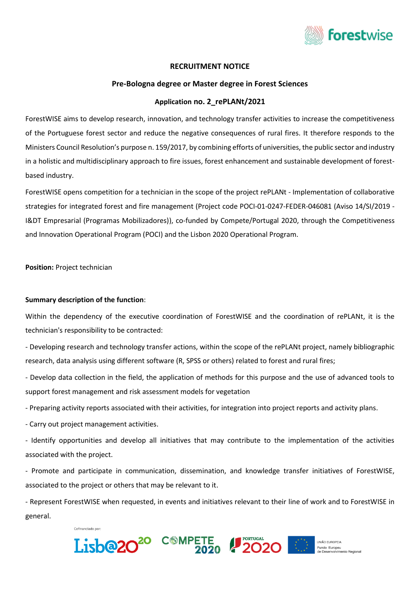

# **RECRUITMENT NOTICE**

# **Pre-Bologna degree or Master degree in Forest Sciences**

# **Application no. 2\_rePLANt/2021**

ForestWISE aims to develop research, innovation, and technology transfer activities to increase the competitiveness of the Portuguese forest sector and reduce the negative consequences of rural fires. It therefore responds to the Ministers Council Resolution's purpose n. 159/2017, by combining efforts of universities, the public sector and industry in a holistic and multidisciplinary approach to fire issues, forest enhancement and sustainable development of forestbased industry.

ForestWISE opens competition for a technician in the scope of the project rePLANt - Implementation of collaborative strategies for integrated forest and fire management (Project code POCI-01-0247-FEDER-046081 (Aviso 14/SI/2019 - I&DT Empresarial (Programas Mobilizadores)), co-funded by Compete/Portugal 2020, through the Competitiveness and Innovation Operational Program (POCI) and the Lisbon 2020 Operational Program.

**Position:** Project technician

### **Summary description of the function**:

Within the dependency of the executive coordination of ForestWISE and the coordination of rePLANt, it is the technician's responsibility to be contracted:

- Developing research and technology transfer actions, within the scope of the rePLANt project, namely bibliographic research, data analysis using different software (R, SPSS or others) related to forest and rural fires;

- Develop data collection in the field, the application of methods for this purpose and the use of advanced tools to support forest management and risk assessment models for vegetation

- Preparing activity reports associated with their activities, for integration into project reports and activity plans.

- Carry out project management activities.

- Identify opportunities and develop all initiatives that may contribute to the implementation of the activities associated with the project.

- Promote and participate in communication, dissemination, and knowledge transfer initiatives of ForestWISE, associated to the project or others that may be relevant to it.

- Represent ForestWISE when requested, in events and initiatives relevant to their line of work and to ForestWISE in general.







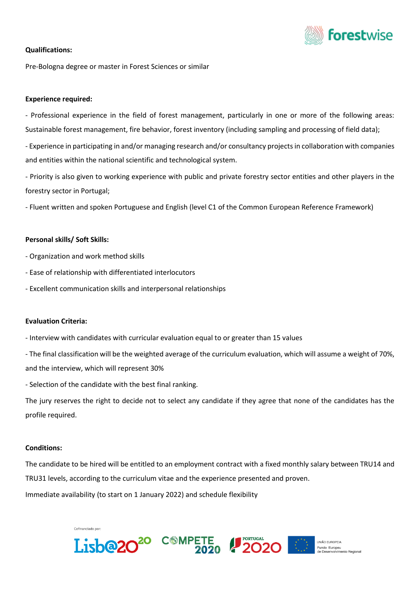

# **Qualifications:**

Pre-Bologna degree or master in Forest Sciences or similar

### **Experience required:**

- Professional experience in the field of forest management, particularly in one or more of the following areas: Sustainable forest management, fire behavior, forest inventory (including sampling and processing of field data);

- Experience in participating in and/or managing research and/or consultancy projects in collaboration with companies and entities within the national scientific and technological system.

- Priority is also given to working experience with public and private forestry sector entities and other players in the forestry sector in Portugal;

- Fluent written and spoken Portuguese and English (level C1 of the Common European Reference Framework)

#### **Personal skills/ Soft Skills:**

- Organization and work method skills
- Ease of relationship with differentiated interlocutors
- Excellent communication skills and interpersonal relationships

## **Evaluation Criteria:**

- Interview with candidates with curricular evaluation equal to or greater than 15 values

- The final classification will be the weighted average of the curriculum evaluation, which will assume a weight of 70%, and the interview, which will represent 30%

- Selection of the candidate with the best final ranking.

Cofinanciado por

The jury reserves the right to decide not to select any candidate if they agree that none of the candidates has the profile required.

#### **Conditions:**

The candidate to be hired will be entitled to an employment contract with a fixed monthly salary between TRU14 and TRU31 levels, according to the curriculum vitae and the experience presented and proven.

Immediate availability (to start on 1 January 2022) and schedule flexibility